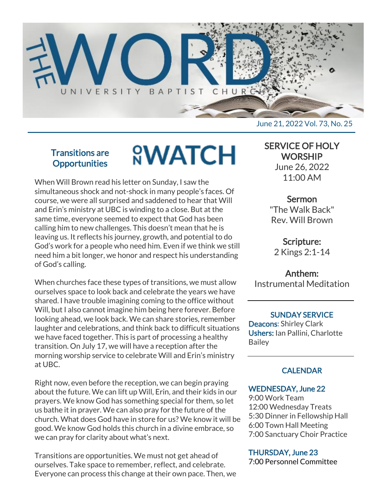

# Transitions are **Opportunities**

# **<sup>O</sup>WATCH**

When Will Brown read his letter on Sunday, I saw the simultaneous shock and not-shock in many people's faces. Of course, we were all surprised and saddened to hear that Will and Erin's ministry at UBC is winding to a close. But at the same time, everyone seemed to expect that God has been calling him to new challenges. This doesn't mean that he is leaving us. It reflects his journey, growth, and potential to do God's work for a people who need him. Even if we think we still need him a bit longer, we honor and respect his understanding of God's calling.

When churches face these types of transitions, we must allow ourselves space to look back and celebrate the years we have shared. I have trouble imagining coming to the office without Will, but I also cannot imagine him being here forever. Before looking ahead, we look back. We can share stories, remember laughter and celebrations, and think back to difficult situations we have faced together. This is part of processing a healthy transition. On July 17, we will have a reception after the morning worship service to celebrate Will and Erin's ministry at UBC.

Right now, even before the reception, we can begin praying about the future. We can lift up Will, Erin, and their kids in our prayers. We know God has something special for them, so let us bathe it in prayer. We can also pray for the future of the church. What does God have in store for us? We know it will be good. We know God holds this church in a divine embrace, so we can pray for clarity about what's next.

Transitions are opportunities. We must not get ahead of ourselves. Take space to remember, reflect, and celebrate. Everyone can process this change at their own pace. Then, we

# SERVICE OF HOLY **WORSHIP**

June 26, 2022 11:00 AM

# Sermon

"The Walk Back" Rev. Will Brown

Scripture: 2 Kings 2:1-14

# Anthem:

Instrumental Meditation

#### SUNDAY SERVICE

Deacons: Shirley Clark Ushers: Ian Pallini, Charlotte Bailey

# **CALENDAR**

## WEDNESDAY, June 22

9:00 Work Team 12:00 Wednesday Treats 5:30 Dinner in Fellowship Hall 6:00 Town Hall Meeting 7:00 Sanctuary Choir Practice

## THURSDAY, June 23

7:00 Personnel Committee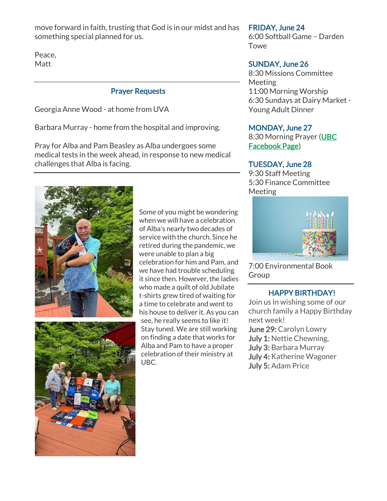move forward in faith, trusting that God is in our midst and has something special planned for us.

Peace, Matt

#### Prayer Requests

Georgia Anne Wood - at home from UVA

Barbara Murray - home from the hospital and improving.

Pray for Alba and Pam Beasley as Alba undergoes some medical tests in the week ahead, in response to new medical challenges that Alba is facing.



Some of you might be wondering when we will have a celebration of Alba's nearly two decades of service with the church. Since he retired during the pandemic, we were unable to plan a big celebration for him and Pam, and we have had trouble scheduling it since then. However, the ladies who made a quilt of old Jubilate t-shirts grew tired of waiting for a time to celebrate and went to his house to deliver it. As you can see, he really seems to like it! Stay tuned. We are still working on finding a date that works for Alba and Pam to have a proper celebration of their ministry at UBC.

#### FRIDAY, June 24

6:00 Softball Game – Darden Towe

#### SUNDAY, June 26

8:30 Missions Committee **Meeting** 11:00 Morning Worship 6:30 Sundays at Dairy Market - Young Adult Dinner

#### MONDAY, June 27

8:30 Morning Prayer [\(UBC](https://r20.rs6.net/tn.jsp?f=001eOsrv41MInRRDGGVwn2R_9D7q6rCDshF2iNdtgez5JDqKzNMTMvTNYzA-_XEad3f1xbuNzs_KdK46Qi5fp5AaSNKhFsm5IpFmfwZWUZYUfblBZBzrcKpmmM5tfDkOE2jBvmUtTmO52F90jR0cAX_WbQDzOwaMtjfc83OYqwvdOjezzDAL2adturtmNfpA_BmQalMO8sqWCA=&c=hphHBONIA8hyxCvvbPvX3JO0S4tbIv1et3K0n_CpCe5ye6yBYxJWxA==&ch=iP_mB23jig9-MHlyItZT-gvQvoeAzl3CRz1rAqUT2hxYKtRbI-Fryg==) [Facebook Page\)](https://r20.rs6.net/tn.jsp?f=001eOsrv41MInRRDGGVwn2R_9D7q6rCDshF2iNdtgez5JDqKzNMTMvTNYzA-_XEad3f1xbuNzs_KdK46Qi5fp5AaSNKhFsm5IpFmfwZWUZYUfblBZBzrcKpmmM5tfDkOE2jBvmUtTmO52F90jR0cAX_WbQDzOwaMtjfc83OYqwvdOjezzDAL2adturtmNfpA_BmQalMO8sqWCA=&c=hphHBONIA8hyxCvvbPvX3JO0S4tbIv1et3K0n_CpCe5ye6yBYxJWxA==&ch=iP_mB23jig9-MHlyItZT-gvQvoeAzl3CRz1rAqUT2hxYKtRbI-Fryg==)

#### TUESDAY, June 28

9:30 Staff Meeting 5:30 Finance Committee Meeting



7:00 Environmental Book Group

#### HAPPY BIRTHDAY!

Join us in wishing some of our church family a Happy Birthday next week! June 29: Carolyn Lowry July 1: Nettie Chewning, July 3: Barbara Murray July 4: Katherine Wagoner July 5: Adam Price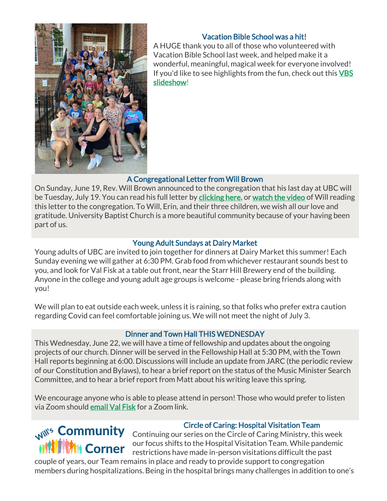

## Vacation Bible School was a hit!

A HUGE thank you to all of those who volunteered with Vacation Bible School last week, and helped make it a wonderful, meaningful, magical week for everyone involved! If you'd like to see highlights from the fun, check out this VBS [slideshow!](https://r20.rs6.net/tn.jsp?f=001eOsrv41MInRRDGGVwn2R_9D7q6rCDshF2iNdtgez5JDqKzNMTMvTNXhNueBzYaTXs707K3tDhxDgsP_qbW2DzSTi930kMyB68VF159G6kFPh8qAyZoKUwB4at4xUZzJok7XC2Lr_Q_YMA7xPwUR_wA==&c=hphHBONIA8hyxCvvbPvX3JO0S4tbIv1et3K0n_CpCe5ye6yBYxJWxA==&ch=iP_mB23jig9-MHlyItZT-gvQvoeAzl3CRz1rAqUT2hxYKtRbI-Fryg==)

## A Congregational Letter from Will Brown

On Sunday, June 19, Rev. Will Brown announced to the congregation that his last day at UBC will be Tuesday, July 19. You can read his full letter by [clicking here,](https://r20.rs6.net/tn.jsp?f=001eOsrv41MInRRDGGVwn2R_9D7q6rCDshF2iNdtgez5JDqKzNMTMvTNXhNueBzYaTXtyFdHNNbnKrGU3SOf79ObGaR1n0ZZmUONZVncRjAYQPraiHeKyhi21ov1Yl4aOw4JYGTIEwfAGo9FhMP4p7wkQ==&c=hphHBONIA8hyxCvvbPvX3JO0S4tbIv1et3K0n_CpCe5ye6yBYxJWxA==&ch=iP_mB23jig9-MHlyItZT-gvQvoeAzl3CRz1rAqUT2hxYKtRbI-Fryg==) or [watch the video](https://r20.rs6.net/tn.jsp?f=001eOsrv41MInRRDGGVwn2R_9D7q6rCDshF2iNdtgez5JDqKzNMTMvTNXhNueBzYaTXR5o5O8CSYmOg-tqMy6wIUDOtmrtjRrsEfK4-WxfcvnfWI8YWb2VUZGIeKkvdtuDxMUaPNqsFGgEHSRGWXpBVDeTGwoxc9ZLBkds6Djh77Tc=&c=hphHBONIA8hyxCvvbPvX3JO0S4tbIv1et3K0n_CpCe5ye6yBYxJWxA==&ch=iP_mB23jig9-MHlyItZT-gvQvoeAzl3CRz1rAqUT2hxYKtRbI-Fryg==) of Will reading this letter to the congregation. To Will, Erin, and their three children, we wish all our love and gratitude. University Baptist Church is a more beautiful community because of your having been part of us.

### Young Adult Sundays at Dairy Market

Young adults of UBC are invited to join together for dinners at Dairy Market this summer! Each Sunday evening we will gather at 6:30 PM. Grab food from whichever restaurant sounds best to you, and look for Val Fisk at a table out front, near the Starr Hill Brewery end of the building. Anyone in the college and young adult age groups is welcome - please bring friends along with you!

We will plan to eat outside each week, unless it is raining, so that folks who prefer extra caution regarding Covid can feel comfortable joining us. We will not meet the night of July 3.

## Dinner and Town Hall THIS WEDNESDAY

This Wednesday, June 22, we will have a time of fellowship and updates about the ongoing projects of our church. Dinner will be served in the Fellowship Hall at 5:30 PM, with the Town Hall reports beginning at 6:00. Discussions will include an update from JARC (the periodic review of our Constitution and Bylaws), to hear a brief report on the status of the Music Minister Search Committee, and to hear a brief report from Matt about his writing leave this spring.

We encourage anyone who is able to please attend in person! Those who would prefer to listen via Zoom should [email Val Fisk](mailto:vfisk@universitybaptist.org) for a Zoom link.



#### Circle of Caring: Hospital Visitation Team

Mil<sup>'s</sup> Community Continuing our series on the Circle of Caring Ministry, this week our focus shifts to the Hospital Visitation Team. While pandemic restrictions have made in-person visitations difficult the past

couple of years, our Team remains in place and ready to provide support to congregation members during hospitalizations. Being in the hospital brings many challenges in addition to one's